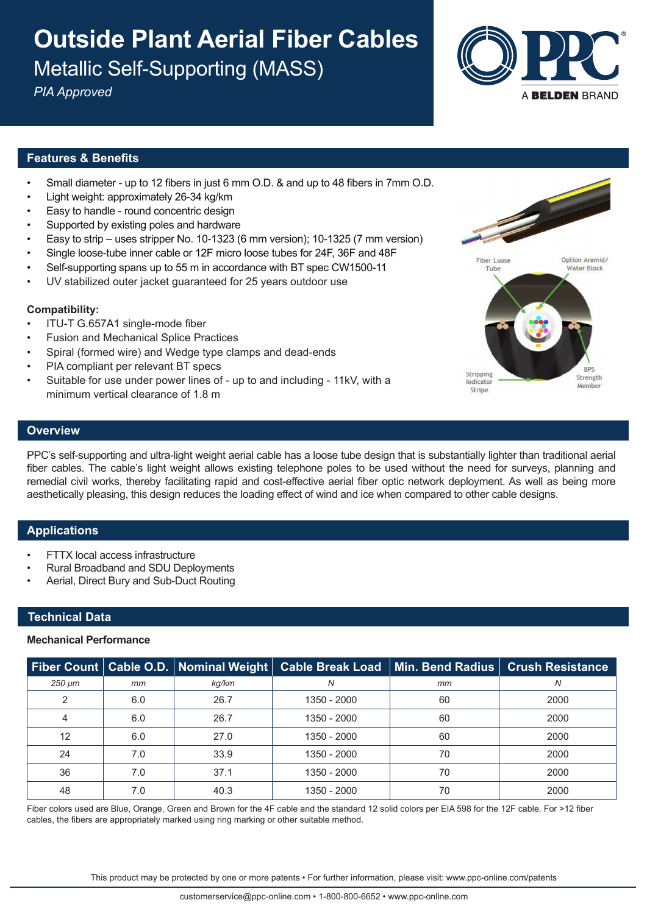# **Outside Plant Aerial Fiber Cables** Metallic Self-Supporting (MASS)

*PIA Approved*



## **Features & Benefits**

- Small diameter up to 12 fibers in just 6 mm O.D. & and up to 48 fibers in 7mm O.D.
- Light weight: approximately 26-34 kg/km
- Easy to handle round concentric design
- Supported by existing poles and hardware
- Easy to strip uses stripper No. 10-1323 (6 mm version); 10-1325 (7 mm version)
- Single loose-tube inner cable or 12F micro loose tubes for 24F, 36F and 48F
- Self-supporting spans up to 55 m in accordance with BT spec CW1500-11
- UV stabilized outer jacket guaranteed for 25 years outdoor use

## **Compatibility:**

- ITU-T G.657A1 single-mode fiber
- Fusion and Mechanical Splice Practices
- Spiral (formed wire) and Wedge type clamps and dead-ends
- PIA compliant per relevant BT specs
- Suitable for use under power lines of up to and including 11kV, with a minimum vertical clearance of 1.8 m



## **Overview**

PPC's self-supporting and ultra-light weight aerial cable has a loose tube design that is substantially lighter than traditional aerial fiber cables. The cable's light weight allows existing telephone poles to be used without the need for surveys, planning and remedial civil works, thereby facilitating rapid and cost-effective aerial fiber optic network deployment. As well as being more aesthetically pleasing, this design reduces the loading effect of wind and ice when compared to other cable designs.

## **Applications**

- **FTTX local access infrastructure**
- Rural Broadband and SDU Deployments
- Aerial, Direct Bury and Sub-Duct Routing

## **Technical Data**

#### **Mechanical Performance**

|        |     | Fiber Count   Cable O.D.   Nominal Weight |             |    | Cable Break Load   Min. Bend Radius   Crush Resistance |
|--------|-----|-------------------------------------------|-------------|----|--------------------------------------------------------|
| 250 µm | mm  | kg/km                                     | N           | mm | Ν                                                      |
| 2      | 6.0 | 26.7                                      | 1350 - 2000 | 60 | 2000                                                   |
| 4      | 6.0 | 26.7                                      | 1350 - 2000 | 60 | 2000                                                   |
| 12     | 6.0 | 27.0                                      | 1350 - 2000 | 60 | 2000                                                   |
| 24     | 7.0 | 33.9                                      | 1350 - 2000 | 70 | 2000                                                   |
| 36     | 7.0 | 37.1                                      | 1350 - 2000 | 70 | 2000                                                   |
| 48     | 7.0 | 40.3                                      | 1350 - 2000 | 70 | 2000                                                   |

Fiber colors used are Blue, Orange, Green and Brown for the 4F cable and the standard 12 solid colors per EIA 598 for the 12F cable. For >12 fiber cables, the fibers are appropriately marked using ring marking or other suitable method.

This product may be protected by one or more patents • For further information, please visit: www.ppc-online.com/patents